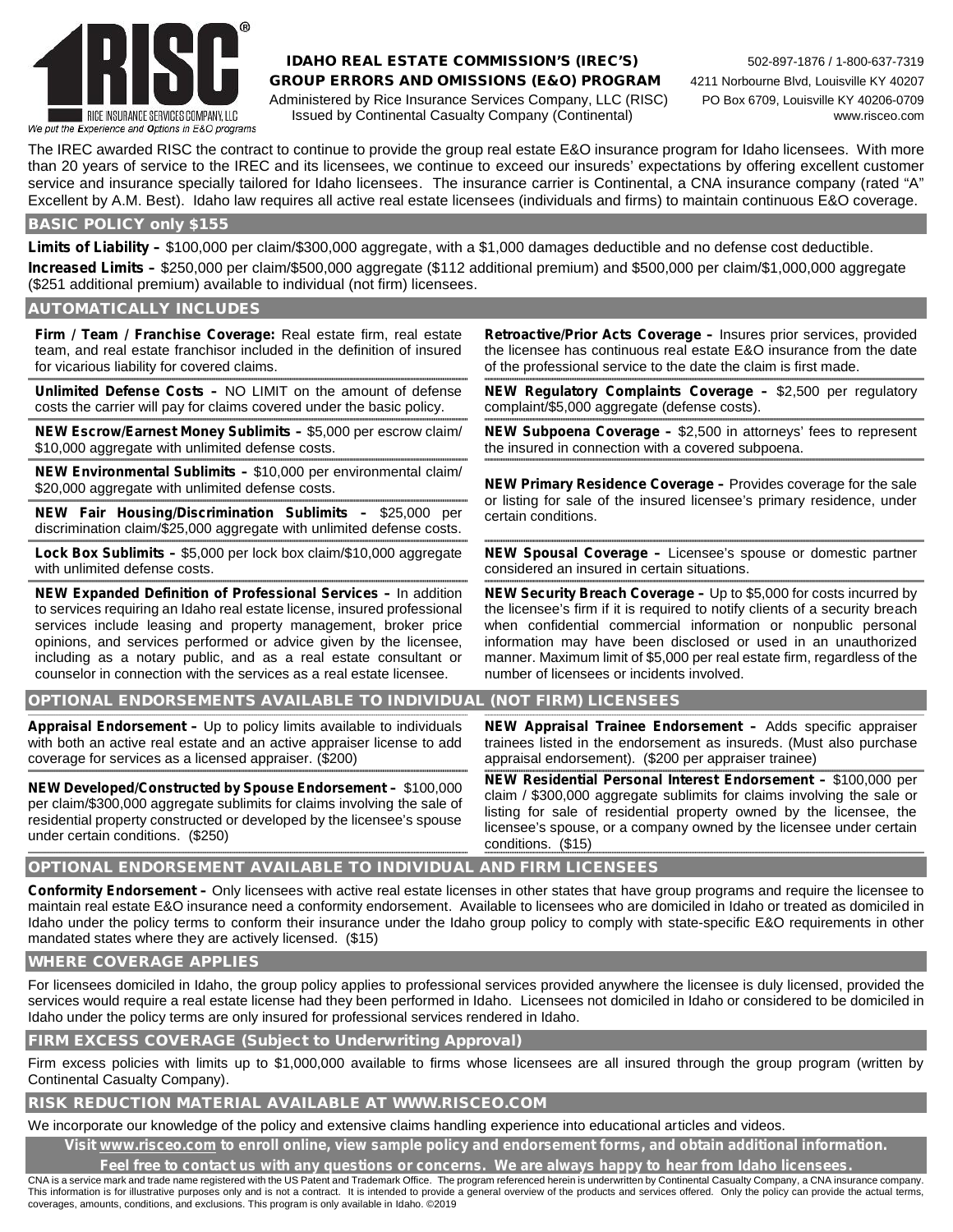

### **IDAHO REAL ESTATE COMMISSION'S (IREC'S)** 502-897-1876 / 1-800-637-7319 **GROUP ERRORS AND OMISSIONS (E&O) PROGRAM** 4211 Norbourne Blvd, Louisville KY 40207 Administered by Rice Insurance Services Company, LLC (RISC) PO Box 6709, Louisville KY 40206-0709 Issued by Continental Casualty Company (Continental) www.risceo.com

The IREC awarded RISC the contract to continue to provide the group real estate E&O insurance program for Idaho licensees. With more than 20 years of service to the IREC and its licensees, we continue to exceed our insureds' expectations by offering excellent customer service and insurance specially tailored for Idaho licensees. The insurance carrier is Continental, a CNA insurance company (rated "A" Excellent by A.M. Best). Idaho law requires all active real estate licensees (individuals and firms) to maintain continuous E&O coverage.

### **BASIC POLICY only \$155**

**Limits of Liability –** \$100,000 per claim/\$300,000 aggregate, with a \$1,000 damages deductible and no defense cost deductible. **Increased Limits –** \$250,000 per claim/\$500,000 aggregate (\$112 additional premium) and \$500,000 per claim/\$1,000,000 aggregate (\$251 additional premium) available to individual (not firm) licensees.

**AUTOMATICALLY INCLUDES**

**Firm / Team / Franchise Coverage:** Real estate firm, real estate team, and real estate franchisor included in the definition of insured for vicarious liability for covered claims.

**Unlimited Defense Costs –** NO LIMIT on the amount of defense costs the carrier will pay for claims covered under the basic policy.

**NEW Escrow/Earnest Money Sublimits –** \$5,000 per escrow claim/ \$10,000 aggregate with unlimited defense costs.

**NEW Environmental Sublimits –** \$10,000 per environmental claim/

**NEW Fair Housing/Discrimination Sublimits – \$25,000 per** certain conditions. discrimination claim/\$25,000 aggregate with unlimited defense costs.

**Lock Box Sublimits –** \$5,000 per lock box claim/\$10,000 aggregate with unlimited defense costs.

**NEW Expanded Definition of Professional Services –** In addition to services requiring an Idaho real estate license, insured professional services include leasing and property management, broker price opinions, and services performed or advice given by the licensee, including as a notary public, and as a real estate consultant or counselor in connection with the services as a real estate licensee.

**Retroactive/Prior Acts Coverage –** Insures prior services, provided the licensee has continuous real estate E&O insurance from the date of the professional service to the date the claim is first made.

**NEW Regulatory Complaints Coverage –** \$2,500 per regulatory complaint/\$5,000 aggregate (defense costs).

**NEW Subpoena Coverage –** \$2,500 in attorneys' fees to represent the insured in connection with a covered subpoena.

\$20,000 aggregate with unlimited defense costs. **NEW Primary Residence Coverage –** Provides coverage for the sale

**NEW Spousal Coverage –** Licensee's spouse or domestic partner considered an insured in certain situations.

**NEW Security Breach Coverage –** Up to \$5,000 for costs incurred by the licensee's firm if it is required to notify clients of a security breach when confidential commercial information or nonpublic personal information may have been disclosed or used in an unauthorized manner. Maximum limit of \$5,000 per real estate firm, regardless of the number of licensees or incidents involved.

### **OPTIONAL ENDORSEMENTS AVAILABLE TO INDIVIDUAL (NOT FIRM) LICENSEES**

**Appraisal Endorsement –** Up to policy limits available to individuals with both an active real estate and an active appraiser license to add coverage for services as a licensed appraiser. (\$200)

**NEW Developed/Constructed by Spouse Endorsement –** \$100,000 per claim/\$300,000 aggregate sublimits for claims involving the sale of residential property constructed or developed by the licensee's spouse under certain conditions. (\$250)

**NEW Appraisal Trainee Endorsement –** Adds specific appraiser trainees listed in the endorsement as insureds. (Must also purchase appraisal endorsement). (\$200 per appraiser trainee)

**NEW Residential Personal Interest Endorsement –** \$100,000 per claim / \$300,000 aggregate sublimits for claims involving the sale or listing for sale of residential property owned by the licensee, the licensee's spouse, or a company owned by the licensee under certain conditions. (\$15)

### **OPTIONAL ENDORSEMENT AVAILABLE TO INDIVIDUAL AND FIRM LICENSEES**

**Conformity Endorsement –** Only licensees with active real estate licenses in other states that have group programs and require the licensee to maintain real estate E&O insurance need a conformity endorsement. Available to licensees who are domiciled in Idaho or treated as domiciled in Idaho under the policy terms to conform their insurance under the Idaho group policy to comply with state-specific E&O requirements in other mandated states where they are actively licensed. (\$15)

### **WHERE COVERAGE APPLIES**

For licensees domiciled in Idaho, the group policy applies to professional services provided anywhere the licensee is duly licensed, provided the services would require a real estate license had they been performed in Idaho. Licensees not domiciled in Idaho or considered to be domiciled in Idaho under the policy terms are only insured for professional services rendered in Idaho.

**FIRM EXCESS COVERAGE (Subject to Underwriting Approval)**

Firm excess policies with limits up to \$1,000,000 available to firms whose licensees are all insured through the group program (written by Continental Casualty Company).

#### **RISK REDUCTION MATERIAL AVAILABLE AT WWW.RISCEO.COM**

We incorporate our knowledge of the policy and extensive claims handling experience into educational articles and videos.

**Visit www.risceo.com to enroll online, view sample policy and endorsement forms, and obtain additional information.**

**Feel free to contact us with any questions or concerns. We are always happy to hear from Idaho licensees.**

CNA is a service mark and trade name registered with the US Patent and Trademark Office. The program referenced herein is underwritten by Continental Casualty Company, a CNA insurance company. This information is for illustrative purposes only and is not a contract. It is intended to provide a general overview of the products and services offered. Only the policy can provide the actual terms, coverages, amounts, conditions, and exclusions. This program is only available in Idaho. ©2019